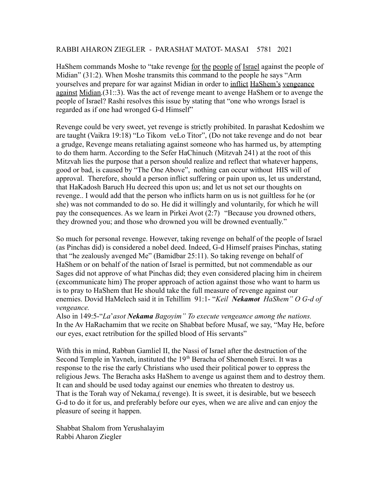## RABBI AHARON ZIEGLER - PARASHAT MATOT- MASAI 5781 2021

HaShem commands Moshe to "take revenge for the people of Israel against the people of Midian" (31:2). When Moshe transmits this command to the people he says "Arm yourselves and prepare for war against Midian in order to inflict HaShem's vengeance against Midian.(31::3). Was the act of revenge meant to avenge HaShem or to avenge the people of Israel? Rashi resolves this issue by stating that "one who wrongs Israel is regarded as if one had wronged G-d Himself"

Revenge could be very sweet, yet revenge is strictly prohibited. In parashat Kedoshim we are taught (Vaikra 19:18) "Lo Tikom veLo Titor", (Do not take revenge and do not bear a grudge, Revenge means retaliating against someone who has harmed us, by attempting to do them harm. According to the Sefer HaChinuch (Mitzvah 241) at the root of this Mitzvah lies the purpose that a person should realize and reflect that whatever happens, good or bad, is caused by "The One Above", nothing can occur without HIS will of approval. Therefore, should a person inflict suffering or pain upon us, let us understand, that HaKadosh Baruch Hu decreed this upon us; and let us not set our thoughts on revenge.. I would add that the person who inflicts harm on us is not guiltless for he (or she) was not commanded to do so. He did it willingly and voluntarily, for which he will pay the consequences. As we learn in Pirkei Avot (2:7) "Because you drowned others, they drowned you; and those who drowned you will be drowned eventually."

So much for personal revenge. However, taking revenge on behalf of the people of Israel (as Pinchas did) is considered a nobel deed. Indeed, G-d Himself praises Pinchas, stating that "he zealously avenged Me" (Bamidbar 25:11). So taking revenge on behalf of HaShem or on behalf of the nation of Israel is permitted, but not commendable as our Sages did not approve of what Pinchas did; they even considered placing him in cheirem (excommunicate him) The proper approach of action against those who want to harm us is to pray to HaShem that He should take the full measure of revenge against our enemies. Dovid HaMelech said it in Tehillim 91:1- "*Keil Nekamot HaShem" O G-d of vengeance.*

Also in 149:5-"*La*'*asot Nekama Bagoyim" To execute vengeance among the nations.* In the Av HaRachamim that we recite on Shabbat before Musaf, we say, "May He, before our eyes, exact retribution for the spilled blood of His servants"

With this in mind, Rabban Gamliel II, the Nassi of Israel after the destruction of the Second Temple in Yavneh, instituted the 19<sup>th</sup> Beracha of Shemoneh Esrei. It was a response to the rise the early Christians who used their political power to oppress the religious Jews. The Beracha asks HaShem to avenge us against them and to destroy them. It can and should be used today against our enemies who threaten to destroy us. That is the Torah way of Nekama,( revenge). It is sweet, it is desirable, but we beseech G-d to do it for us, and preferably before our eyes, when we are alive and can enjoy the pleasure of seeing it happen.

Shabbat Shalom from Yerushalayim Rabbi Aharon Ziegler